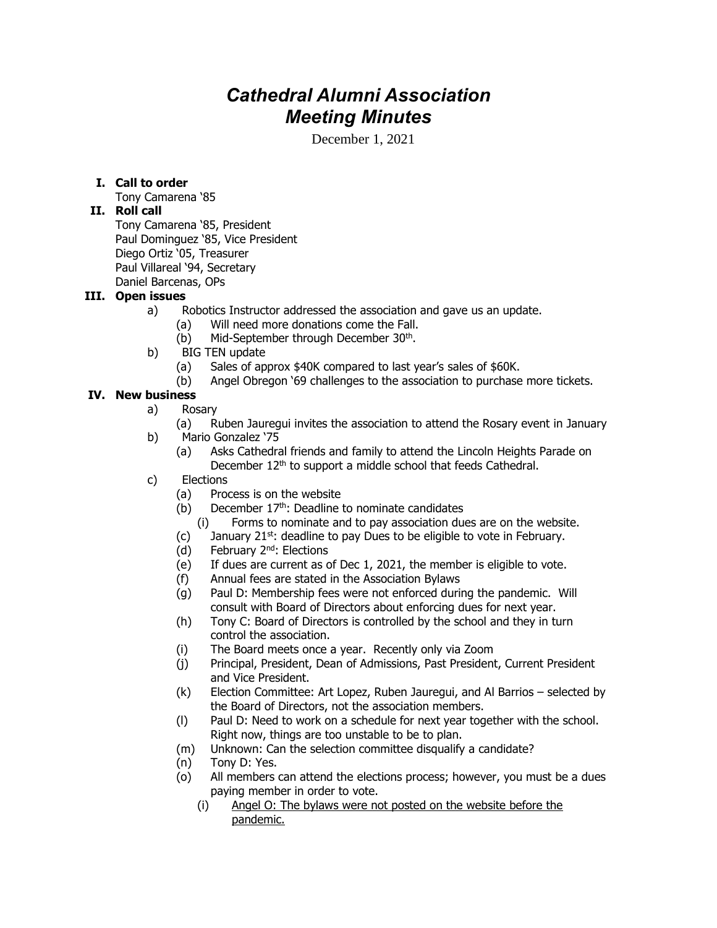# *Cathedral Alumni Association Meeting Minutes*

December 1, 2021

# **I. Call to order**

Tony Camarena '85

### **II. Roll call**

Tony Camarena '85, President Paul Dominguez '85, Vice President Diego Ortiz '05, Treasurer Paul Villareal '94, Secretary Daniel Barcenas, OPs

#### **III. Open issues**

- a) Robotics Instructor addressed the association and gave us an update.
	- (a) Will need more donations come the Fall.
	- (b) Mid-September through December 30<sup>th</sup>.
- b) BIG TEN update
	- (a) Sales of approx \$40K compared to last year's sales of \$60K.
	- (b) Angel Obregon '69 challenges to the association to purchase more tickets.

# **IV. New business**

- a) Rosary
	- (a) Ruben Jauregui invites the association to attend the Rosary event in January
- b) Mario Gonzalez '75
	- (a) Asks Cathedral friends and family to attend the Lincoln Heights Parade on December 12<sup>th</sup> to support a middle school that feeds Cathedral.
- c) Elections
	- (a) Process is on the website
	- (b) December  $17<sup>th</sup>$ : Deadline to nominate candidates
		- (i) Forms to nominate and to pay association dues are on the website.
	- (c) January  $21^{st}$ : deadline to pay Dues to be eligible to vote in February.
	- (d) February  $2<sup>nd</sup>$ : Elections
	- (e) If dues are current as of Dec 1, 2021, the member is eligible to vote.
	- (f) Annual fees are stated in the Association Bylaws
	- (g) Paul D: Membership fees were not enforced during the pandemic. Will consult with Board of Directors about enforcing dues for next year.
	- (h) Tony C: Board of Directors is controlled by the school and they in turn control the association.
	- (i) The Board meets once a year. Recently only via Zoom
	- (j) Principal, President, Dean of Admissions, Past President, Current President and Vice President.
	- (k) Election Committee: Art Lopez, Ruben Jauregui, and Al Barrios selected by the Board of Directors, not the association members.
	- (l) Paul D: Need to work on a schedule for next year together with the school. Right now, things are too unstable to be to plan.
	- (m) Unknown: Can the selection committee disqualify a candidate?
	- (n) Tony D: Yes.
	- (o) All members can attend the elections process; however, you must be a dues paying member in order to vote.
		- (i) Angel O: The bylaws were not posted on the website before the pandemic.